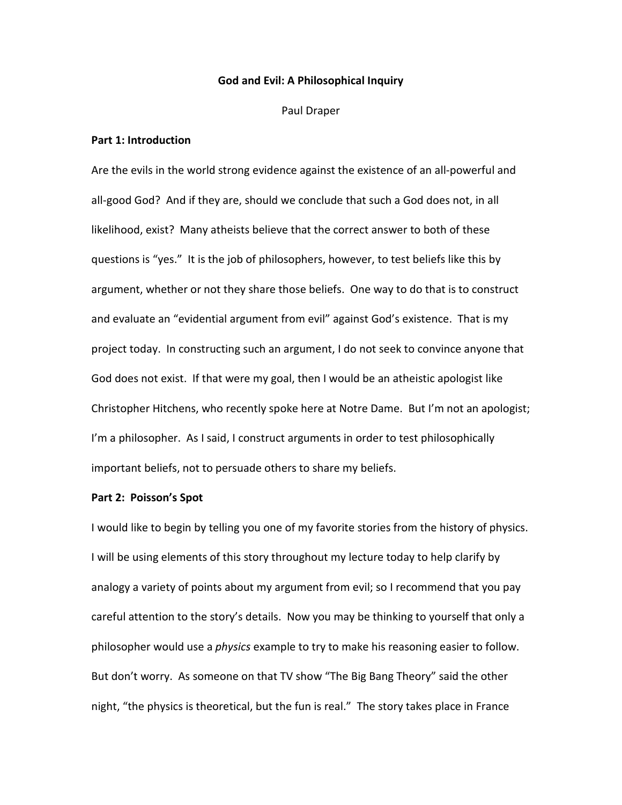### **God and Evil: A Philosophical Inquiry**

Paul Draper

# **Part 1: Introduction**

Are the evils in the world strong evidence against the existence of an all-powerful and all-good God? And if they are, should we conclude that such a God does not, in all likelihood, exist? Many atheists believe that the correct answer to both of these questions is "yes." It is the job of philosophers, however, to test beliefs like this by argument, whether or not they share those beliefs. One way to do that is to construct and evaluate an "evidential argument from evil" against God's existence. That is my project today. In constructing such an argument, I do not seek to convince anyone that God does not exist. If that were my goal, then I would be an atheistic apologist like Christopher Hitchens, who recently spoke here at Notre Dame. But I'm not an apologist; I'm a philosopher. As I said, I construct arguments in order to test philosophically important beliefs, not to persuade others to share my beliefs.

## **Part 2: Poisson's Spot**

I would like to begin by telling you one of my favorite stories from the history of physics. I will be using elements of this story throughout my lecture today to help clarify by analogy a variety of points about my argument from evil; so I recommend that you pay careful attention to the story's details. Now you may be thinking to yourself that only a philosopher would use a *physics* example to try to make his reasoning easier to follow. But don't worry. As someone on that TV show "The Big Bang Theory" said the other night, "the physics is theoretical, but the fun is real." The story takes place in France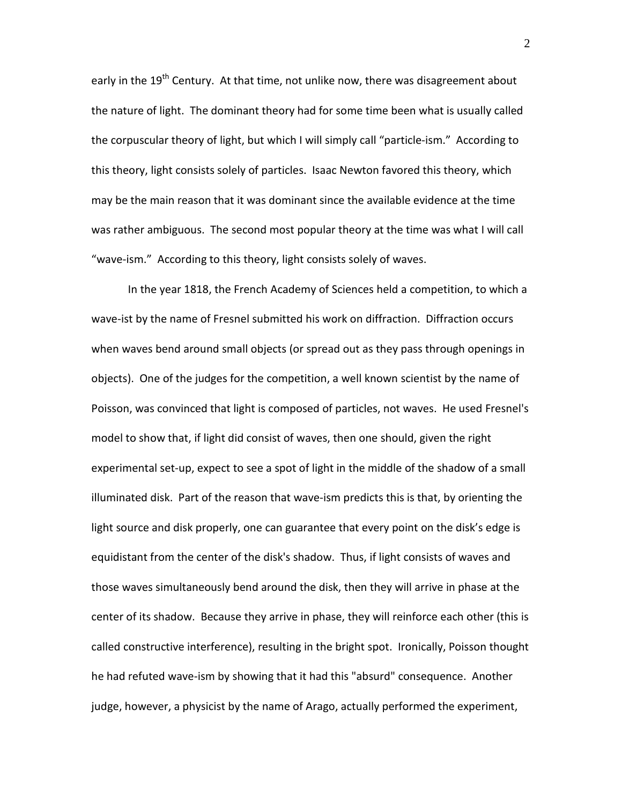early in the  $19<sup>th</sup>$  Century. At that time, not unlike now, there was disagreement about the nature of light. The dominant theory had for some time been what is usually called the corpuscular theory of light, but which I will simply call "particle-ism." According to this theory, light consists solely of particles. Isaac Newton favored this theory, which may be the main reason that it was dominant since the available evidence at the time was rather ambiguous. The second most popular theory at the time was what I will call "wave-ism." According to this theory, light consists solely of waves.

In the year 1818, the French Academy of Sciences held a competition, to which a wave-ist by the name of Fresnel submitted his work on diffraction. Diffraction occurs when waves bend around small objects (or spread out as they pass through openings in objects). One of the judges for the competition, a well known scientist by the name of Poisson, was convinced that light is composed of particles, not waves. He used Fresnel's model to show that, if light did consist of waves, then one should, given the right experimental set-up, expect to see a spot of light in the middle of the shadow of a small illuminated disk. Part of the reason that wave-ism predicts this is that, by orienting the light source and disk properly, one can guarantee that every point on the disk's edge is equidistant from the center of the disk's shadow. Thus, if light consists of waves and those waves simultaneously bend around the disk, then they will arrive in phase at the center of its shadow. Because they arrive in phase, they will reinforce each other (this is called constructive interference), resulting in the bright spot. Ironically, Poisson thought he had refuted wave-ism by showing that it had this "absurd" consequence. Another judge, however, a physicist by the name of Arago, actually performed the experiment,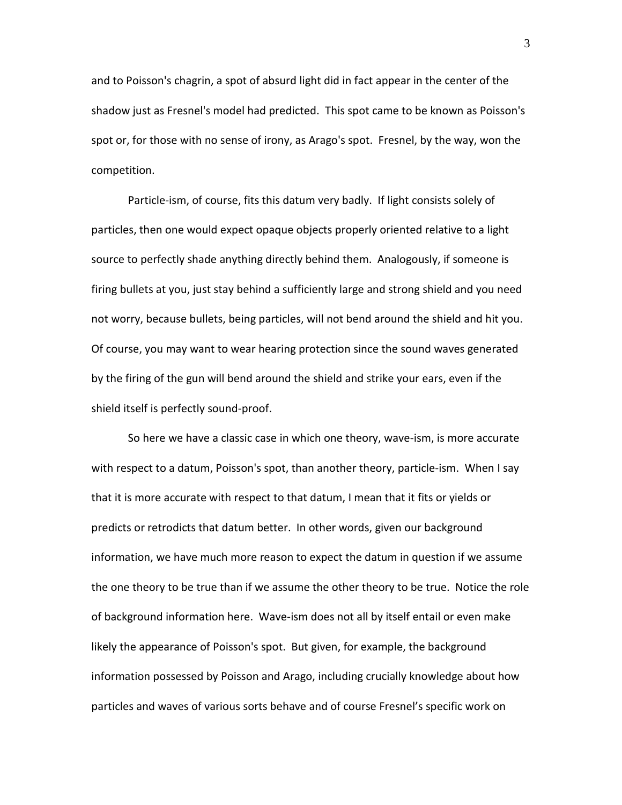and to Poisson's chagrin, a spot of absurd light did in fact appear in the center of the shadow just as Fresnel's model had predicted. This spot came to be known as Poisson's spot or, for those with no sense of irony, as Arago's spot. Fresnel, by the way, won the competition.

Particle-ism, of course, fits this datum very badly. If light consists solely of particles, then one would expect opaque objects properly oriented relative to a light source to perfectly shade anything directly behind them. Analogously, if someone is firing bullets at you, just stay behind a sufficiently large and strong shield and you need not worry, because bullets, being particles, will not bend around the shield and hit you. Of course, you may want to wear hearing protection since the sound waves generated by the firing of the gun will bend around the shield and strike your ears, even if the shield itself is perfectly sound-proof.

So here we have a classic case in which one theory, wave-ism, is more accurate with respect to a datum, Poisson's spot, than another theory, particle-ism. When I say that it is more accurate with respect to that datum, I mean that it fits or yields or predicts or retrodicts that datum better. In other words, given our background information, we have much more reason to expect the datum in question if we assume the one theory to be true than if we assume the other theory to be true. Notice the role of background information here. Wave-ism does not all by itself entail or even make likely the appearance of Poisson's spot. But given, for example, the background information possessed by Poisson and Arago, including crucially knowledge about how particles and waves of various sorts behave and of course Fresnel's specific work on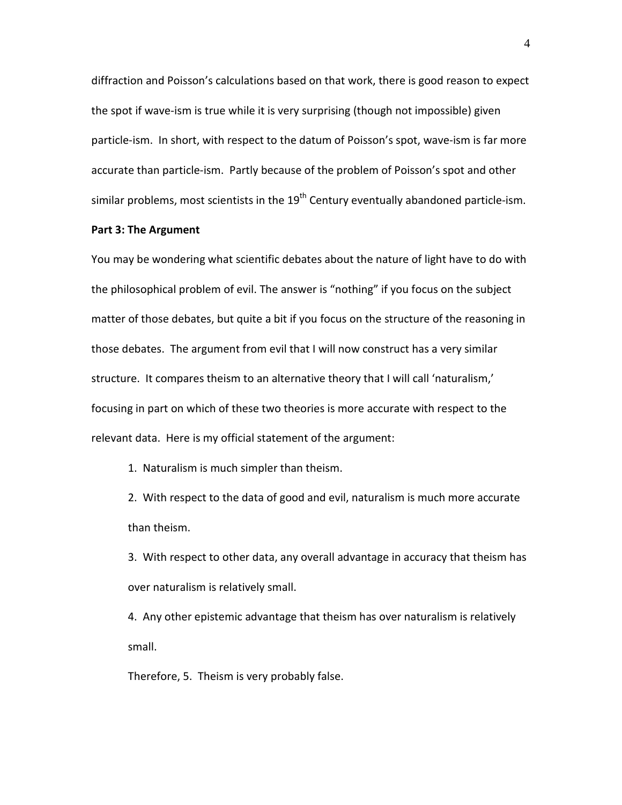diffraction and Poisson's calculations based on that work, there is good reason to expect the spot if wave-ism is true while it is very surprising (though not impossible) given particle-ism. In short, with respect to the datum of Poisson's spot, wave-ism is far more accurate than particle-ism. Partly because of the problem of Poisson's spot and other similar problems, most scientists in the  $19<sup>th</sup>$  Century eventually abandoned particle-ism.

### **Part 3: The Argument**

You may be wondering what scientific debates about the nature of light have to do with the philosophical problem of evil. The answer is "nothing" if you focus on the subject matter of those debates, but quite a bit if you focus on the structure of the reasoning in those debates. The argument from evil that I will now construct has a very similar structure. It compares theism to an alternative theory that I will call 'naturalism,' focusing in part on which of these two theories is more accurate with respect to the relevant data. Here is my official statement of the argument:

1. Naturalism is much simpler than theism.

2. With respect to the data of good and evil, naturalism is much more accurate than theism.

3. With respect to other data, any overall advantage in accuracy that theism has over naturalism is relatively small.

4. Any other epistemic advantage that theism has over naturalism is relatively small.

Therefore, 5. Theism is very probably false.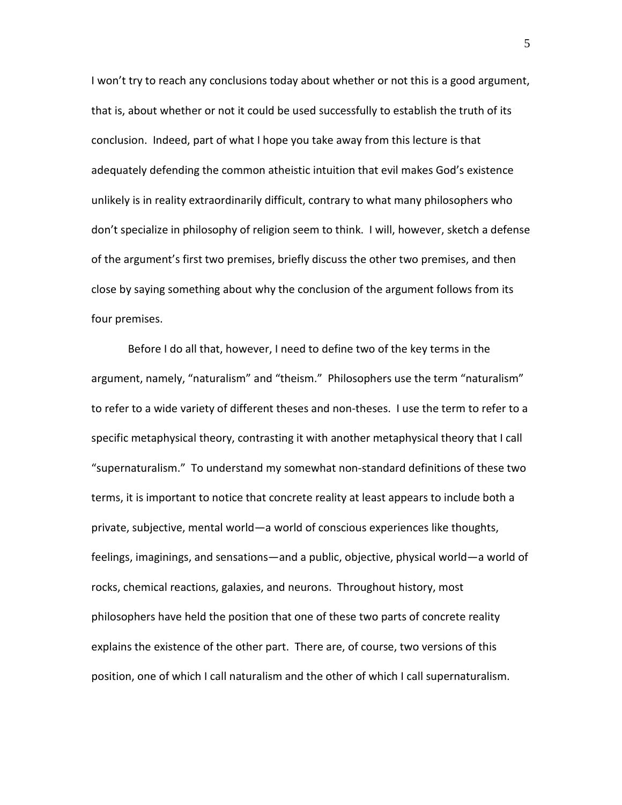I won't try to reach any conclusions today about whether or not this is a good argument, that is, about whether or not it could be used successfully to establish the truth of its conclusion. Indeed, part of what I hope you take away from this lecture is that adequately defending the common atheistic intuition that evil makes God's existence unlikely is in reality extraordinarily difficult, contrary to what many philosophers who don't specialize in philosophy of religion seem to think. I will, however, sketch a defense of the argument's first two premises, briefly discuss the other two premises, and then close by saying something about why the conclusion of the argument follows from its four premises.

Before I do all that, however, I need to define two of the key terms in the argument, namely, "naturalism" and "theism." Philosophers use the term "naturalism" to refer to a wide variety of different theses and non-theses. I use the term to refer to a specific metaphysical theory, contrasting it with another metaphysical theory that I call "supernaturalism." To understand my somewhat non-standard definitions of these two terms, it is important to notice that concrete reality at least appears to include both a private, subjective, mental world—a world of conscious experiences like thoughts, feelings, imaginings, and sensations—and a public, objective, physical world—a world of rocks, chemical reactions, galaxies, and neurons. Throughout history, most philosophers have held the position that one of these two parts of concrete reality explains the existence of the other part. There are, of course, two versions of this position, one of which I call naturalism and the other of which I call supernaturalism.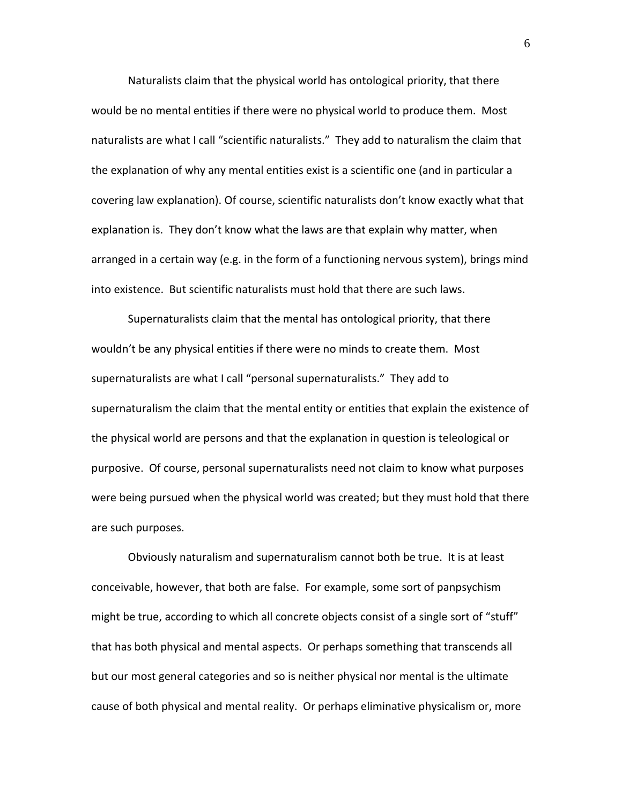Naturalists claim that the physical world has ontological priority, that there would be no mental entities if there were no physical world to produce them. Most naturalists are what I call "scientific naturalists." They add to naturalism the claim that the explanation of why any mental entities exist is a scientific one (and in particular a covering law explanation). Of course, scientific naturalists don't know exactly what that explanation is. They don't know what the laws are that explain why matter, when arranged in a certain way (e.g. in the form of a functioning nervous system), brings mind into existence. But scientific naturalists must hold that there are such laws.

Supernaturalists claim that the mental has ontological priority, that there wouldn't be any physical entities if there were no minds to create them. Most supernaturalists are what I call "personal supernaturalists." They add to supernaturalism the claim that the mental entity or entities that explain the existence of the physical world are persons and that the explanation in question is teleological or purposive. Of course, personal supernaturalists need not claim to know what purposes were being pursued when the physical world was created; but they must hold that there are such purposes.

Obviously naturalism and supernaturalism cannot both be true. It is at least conceivable, however, that both are false. For example, some sort of panpsychism might be true, according to which all concrete objects consist of a single sort of "stuff" that has both physical and mental aspects. Or perhaps something that transcends all but our most general categories and so is neither physical nor mental is the ultimate cause of both physical and mental reality. Or perhaps eliminative physicalism or, more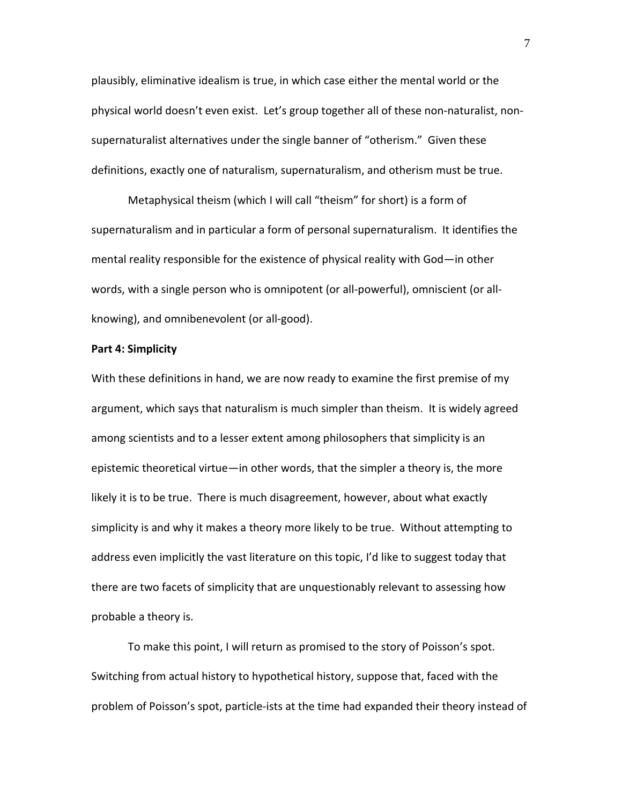plausibly, eliminative idealism is true, in which case either the mental world or the physical world doesn't even exist. Let's group together all of these non-naturalist, nonsupernaturalist alternatives under the single banner of "otherism." Given these definitions, exactly one of naturalism, supernaturalism, and otherism must be true.

Metaphysical theism (which I will call "theism" for short) is a form of supernaturalism and in particular a form of personal supernaturalism. It identifies the mental reality responsible for the existence of physical reality with God—in other words, with a single person who is omnipotent (or all-powerful), omniscient (or allknowing), and omnibenevolent (or all-good).

## **Part 4: Simplicity**

With these definitions in hand, we are now ready to examine the first premise of my argument, which says that naturalism is much simpler than theism. It is widely agreed among scientists and to a lesser extent among philosophers that simplicity is an epistemic theoretical virtue—in other words, that the simpler a theory is, the more likely it is to be true. There is much disagreement, however, about what exactly simplicity is and why it makes a theory more likely to be true. Without attempting to address even implicitly the vast literature on this topic, I'd like to suggest today that there are two facets of simplicity that are unquestionably relevant to assessing how probable a theory is.

To make this point, I will return as promised to the story of Poisson's spot. Switching from actual history to hypothetical history, suppose that, faced with the problem of Poisson's spot, particle-ists at the time had expanded their theory instead of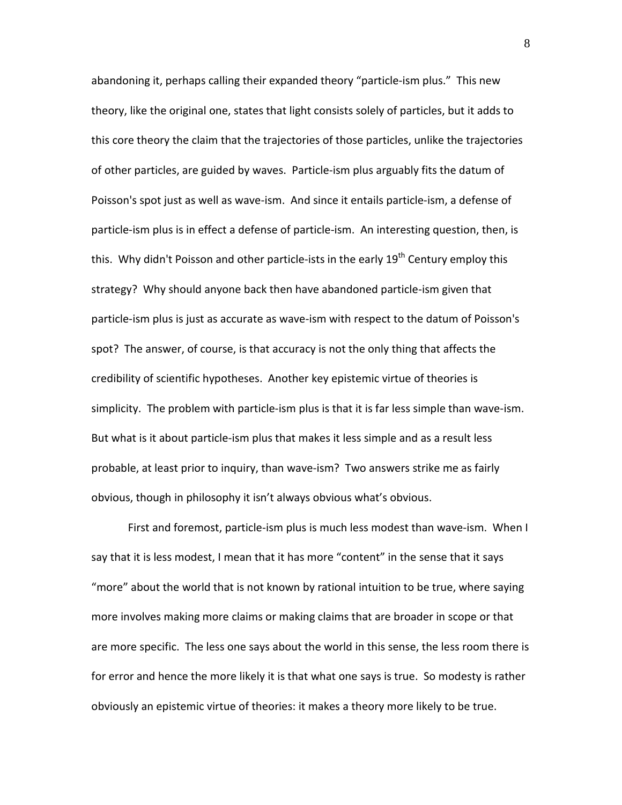abandoning it, perhaps calling their expanded theory "particle-ism plus." This new theory, like the original one, states that light consists solely of particles, but it adds to this core theory the claim that the trajectories of those particles, unlike the trajectories of other particles, are guided by waves. Particle-ism plus arguably fits the datum of Poisson's spot just as well as wave-ism. And since it entails particle-ism, a defense of particle-ism plus is in effect a defense of particle-ism. An interesting question, then, is this. Why didn't Poisson and other particle-ists in the early 19<sup>th</sup> Century employ this strategy? Why should anyone back then have abandoned particle-ism given that particle-ism plus is just as accurate as wave-ism with respect to the datum of Poisson's spot? The answer, of course, is that accuracy is not the only thing that affects the credibility of scientific hypotheses. Another key epistemic virtue of theories is simplicity. The problem with particle-ism plus is that it is far less simple than wave-ism. But what is it about particle-ism plus that makes it less simple and as a result less probable, at least prior to inquiry, than wave-ism? Two answers strike me as fairly obvious, though in philosophy it isn't always obvious what's obvious.

First and foremost, particle-ism plus is much less modest than wave-ism. When I say that it is less modest, I mean that it has more "content" in the sense that it says "more" about the world that is not known by rational intuition to be true, where saying more involves making more claims or making claims that are broader in scope or that are more specific. The less one says about the world in this sense, the less room there is for error and hence the more likely it is that what one says is true. So modesty is rather obviously an epistemic virtue of theories: it makes a theory more likely to be true.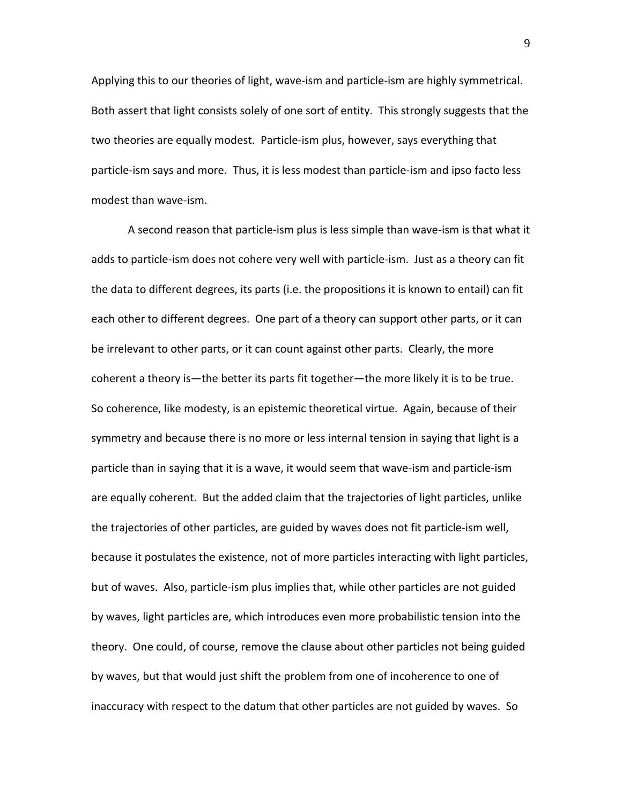Applying this to our theories of light, wave-ism and particle-ism are highly symmetrical. Both assert that light consists solely of one sort of entity. This strongly suggests that the two theories are equally modest. Particle-ism plus, however, says everything that particle-ism says and more. Thus, it is less modest than particle-ism and ipso facto less modest than wave-ism.

A second reason that particle-ism plus is less simple than wave-ism is that what it adds to particle-ism does not cohere very well with particle-ism. Just as a theory can fit the data to different degrees, its parts (i.e. the propositions it is known to entail) can fit each other to different degrees. One part of a theory can support other parts, or it can be irrelevant to other parts, or it can count against other parts. Clearly, the more coherent a theory is—the better its parts fit together—the more likely it is to be true. So coherence, like modesty, is an epistemic theoretical virtue. Again, because of their symmetry and because there is no more or less internal tension in saying that light is a particle than in saying that it is a wave, it would seem that wave-ism and particle-ism are equally coherent. But the added claim that the trajectories of light particles, unlike the trajectories of other particles, are guided by waves does not fit particle-ism well, because it postulates the existence, not of more particles interacting with light particles, but of waves. Also, particle-ism plus implies that, while other particles are not guided by waves, light particles are, which introduces even more probabilistic tension into the theory. One could, of course, remove the clause about other particles not being guided by waves, but that would just shift the problem from one of incoherence to one of inaccuracy with respect to the datum that other particles are not guided by waves. So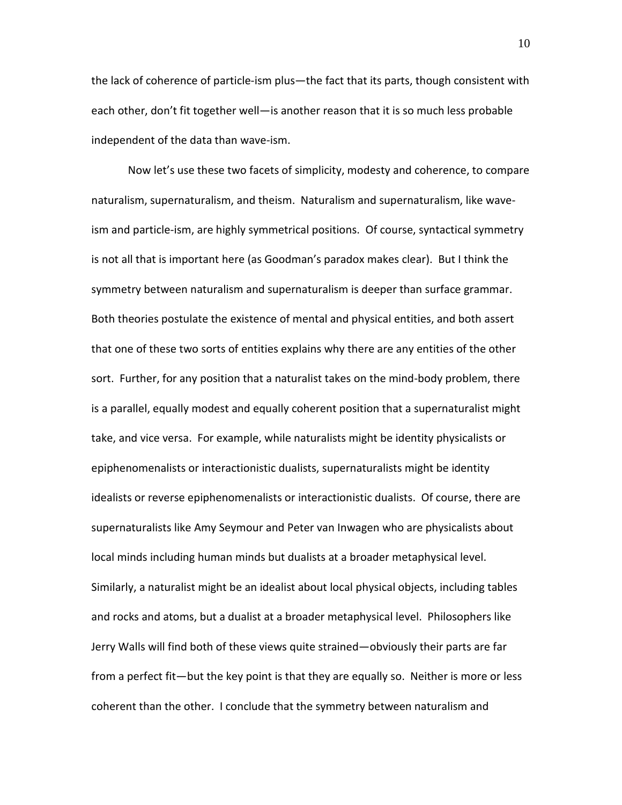the lack of coherence of particle-ism plus—the fact that its parts, though consistent with each other, don't fit together well—is another reason that it is so much less probable independent of the data than wave-ism.

Now let's use these two facets of simplicity, modesty and coherence, to compare naturalism, supernaturalism, and theism. Naturalism and supernaturalism, like waveism and particle-ism, are highly symmetrical positions. Of course, syntactical symmetry is not all that is important here (as Goodman's paradox makes clear). But I think the symmetry between naturalism and supernaturalism is deeper than surface grammar. Both theories postulate the existence of mental and physical entities, and both assert that one of these two sorts of entities explains why there are any entities of the other sort. Further, for any position that a naturalist takes on the mind-body problem, there is a parallel, equally modest and equally coherent position that a supernaturalist might take, and vice versa. For example, while naturalists might be identity physicalists or epiphenomenalists or interactionistic dualists, supernaturalists might be identity idealists or reverse epiphenomenalists or interactionistic dualists. Of course, there are supernaturalists like Amy Seymour and Peter van Inwagen who are physicalists about local minds including human minds but dualists at a broader metaphysical level. Similarly, a naturalist might be an idealist about local physical objects, including tables and rocks and atoms, but a dualist at a broader metaphysical level. Philosophers like Jerry Walls will find both of these views quite strained—obviously their parts are far from a perfect fit—but the key point is that they are equally so. Neither is more or less coherent than the other. I conclude that the symmetry between naturalism and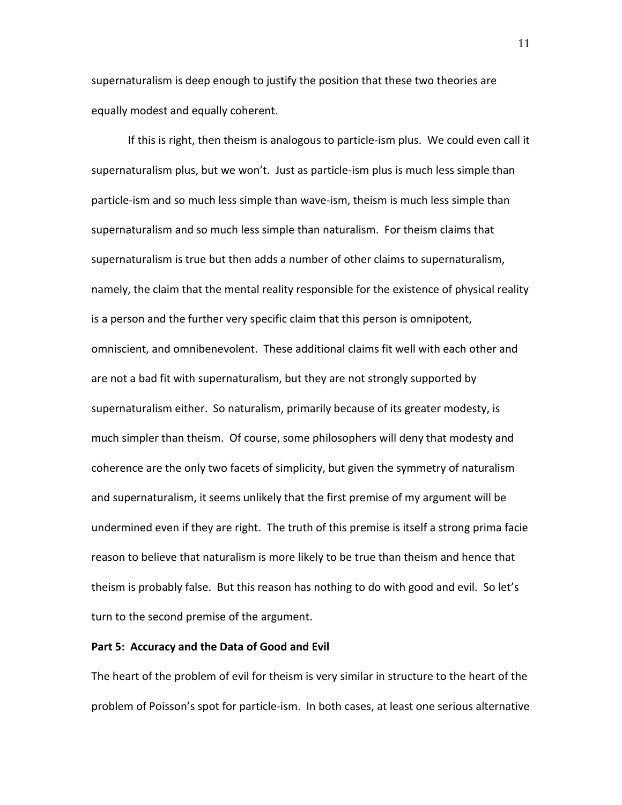supernaturalism is deep enough to justify the position that these two theories are equally modest and equally coherent.

If this is right, then theism is analogous to particle-ism plus. We could even call it supernaturalism plus, but we won't. Just as particle-ism plus is much less simple than particle-ism and so much less simple than wave-ism, theism is much less simple than supernaturalism and so much less simple than naturalism. For theism claims that supernaturalism is true but then adds a number of other claims to supernaturalism, namely, the claim that the mental reality responsible for the existence of physical reality is a person and the further very specific claim that this person is omnipotent, omniscient, and omnibenevolent. These additional claims fit well with each other and are not a bad fit with supernaturalism, but they are not strongly supported by supernaturalism either. So naturalism, primarily because of its greater modesty, is much simpler than theism. Of course, some philosophers will deny that modesty and coherence are the only two facets of simplicity, but given the symmetry of naturalism and supernaturalism, it seems unlikely that the first premise of my argument will be undermined even if they are right. The truth of this premise is itself a strong prima facie reason to believe that naturalism is more likely to be true than theism and hence that theism is probably false. But this reason has nothing to do with good and evil. So let's turn to the second premise of the argument.

## **Part 5: Accuracy and the Data of Good and Evil**

The heart of the problem of evil for theism is very similar in structure to the heart of the problem of Poisson's spot for particle-ism. In both cases, at least one serious alternative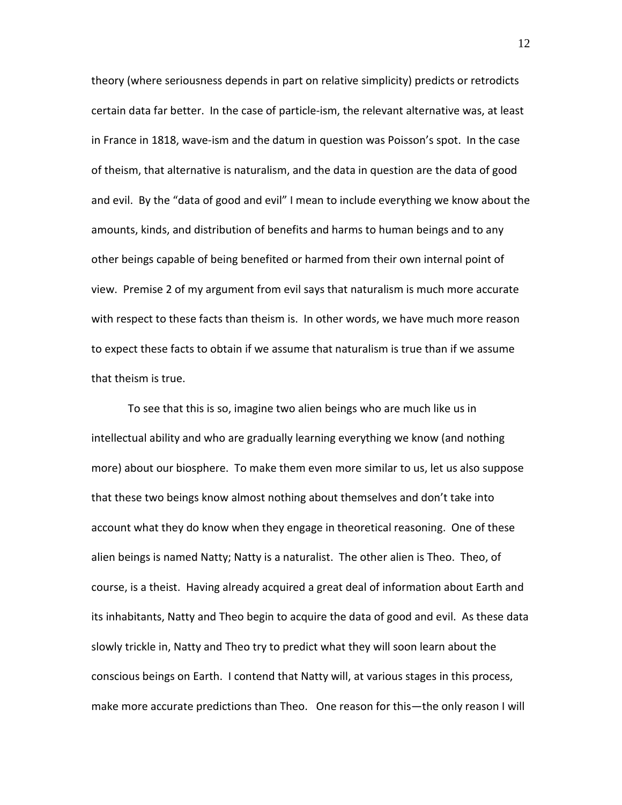theory (where seriousness depends in part on relative simplicity) predicts or retrodicts certain data far better. In the case of particle-ism, the relevant alternative was, at least in France in 1818, wave-ism and the datum in question was Poisson's spot. In the case of theism, that alternative is naturalism, and the data in question are the data of good and evil. By the "data of good and evil" I mean to include everything we know about the amounts, kinds, and distribution of benefits and harms to human beings and to any other beings capable of being benefited or harmed from their own internal point of view. Premise 2 of my argument from evil says that naturalism is much more accurate with respect to these facts than theism is. In other words, we have much more reason to expect these facts to obtain if we assume that naturalism is true than if we assume that theism is true.

To see that this is so, imagine two alien beings who are much like us in intellectual ability and who are gradually learning everything we know (and nothing more) about our biosphere. To make them even more similar to us, let us also suppose that these two beings know almost nothing about themselves and don't take into account what they do know when they engage in theoretical reasoning. One of these alien beings is named Natty; Natty is a naturalist. The other alien is Theo. Theo, of course, is a theist. Having already acquired a great deal of information about Earth and its inhabitants, Natty and Theo begin to acquire the data of good and evil. As these data slowly trickle in, Natty and Theo try to predict what they will soon learn about the conscious beings on Earth. I contend that Natty will, at various stages in this process, make more accurate predictions than Theo. One reason for this—the only reason I will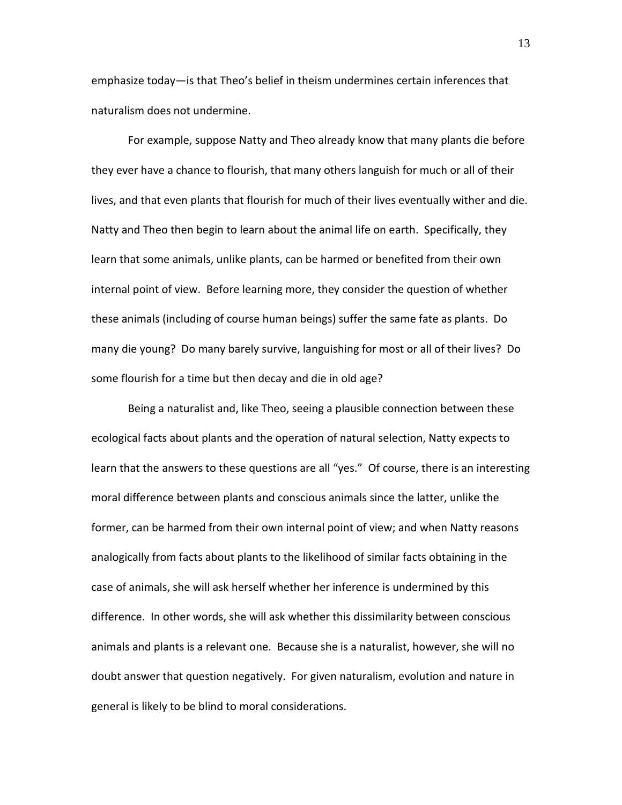emphasize today—is that Theo's belief in theism undermines certain inferences that naturalism does not undermine.

For example, suppose Natty and Theo already know that many plants die before they ever have a chance to flourish, that many others languish for much or all of their lives, and that even plants that flourish for much of their lives eventually wither and die. Natty and Theo then begin to learn about the animal life on earth. Specifically, they learn that some animals, unlike plants, can be harmed or benefited from their own internal point of view. Before learning more, they consider the question of whether these animals (including of course human beings) suffer the same fate as plants. Do many die young? Do many barely survive, languishing for most or all of their lives? Do some flourish for a time but then decay and die in old age?

Being a naturalist and, like Theo, seeing a plausible connection between these ecological facts about plants and the operation of natural selection, Natty expects to learn that the answers to these questions are all "yes." Of course, there is an interesting moral difference between plants and conscious animals since the latter, unlike the former, can be harmed from their own internal point of view; and when Natty reasons analogically from facts about plants to the likelihood of similar facts obtaining in the case of animals, she will ask herself whether her inference is undermined by this difference. In other words, she will ask whether this dissimilarity between conscious animals and plants is a relevant one. Because she is a naturalist, however, she will no doubt answer that question negatively. For given naturalism, evolution and nature in general is likely to be blind to moral considerations.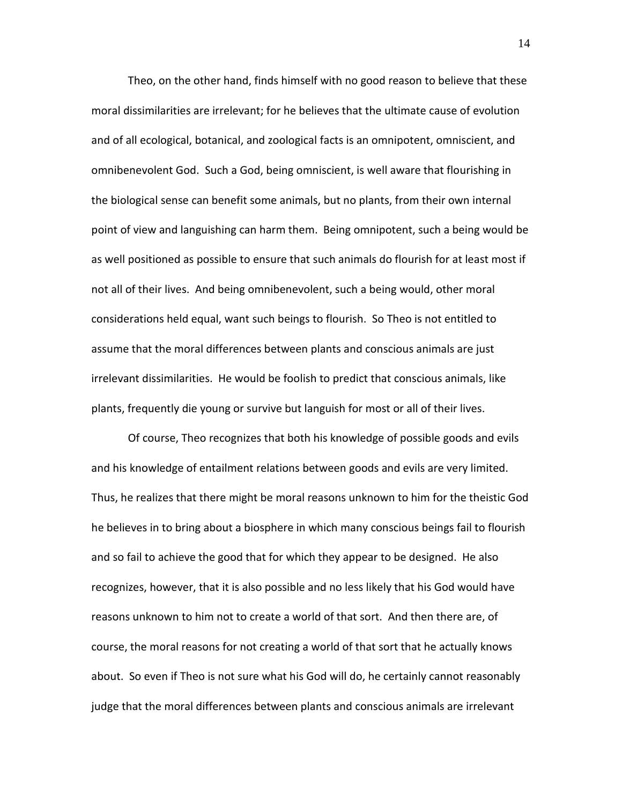Theo, on the other hand, finds himself with no good reason to believe that these moral dissimilarities are irrelevant; for he believes that the ultimate cause of evolution and of all ecological, botanical, and zoological facts is an omnipotent, omniscient, and omnibenevolent God. Such a God, being omniscient, is well aware that flourishing in the biological sense can benefit some animals, but no plants, from their own internal point of view and languishing can harm them. Being omnipotent, such a being would be as well positioned as possible to ensure that such animals do flourish for at least most if not all of their lives. And being omnibenevolent, such a being would, other moral considerations held equal, want such beings to flourish. So Theo is not entitled to assume that the moral differences between plants and conscious animals are just irrelevant dissimilarities. He would be foolish to predict that conscious animals, like plants, frequently die young or survive but languish for most or all of their lives.

Of course, Theo recognizes that both his knowledge of possible goods and evils and his knowledge of entailment relations between goods and evils are very limited. Thus, he realizes that there might be moral reasons unknown to him for the theistic God he believes in to bring about a biosphere in which many conscious beings fail to flourish and so fail to achieve the good that for which they appear to be designed. He also recognizes, however, that it is also possible and no less likely that his God would have reasons unknown to him not to create a world of that sort. And then there are, of course, the moral reasons for not creating a world of that sort that he actually knows about. So even if Theo is not sure what his God will do, he certainly cannot reasonably judge that the moral differences between plants and conscious animals are irrelevant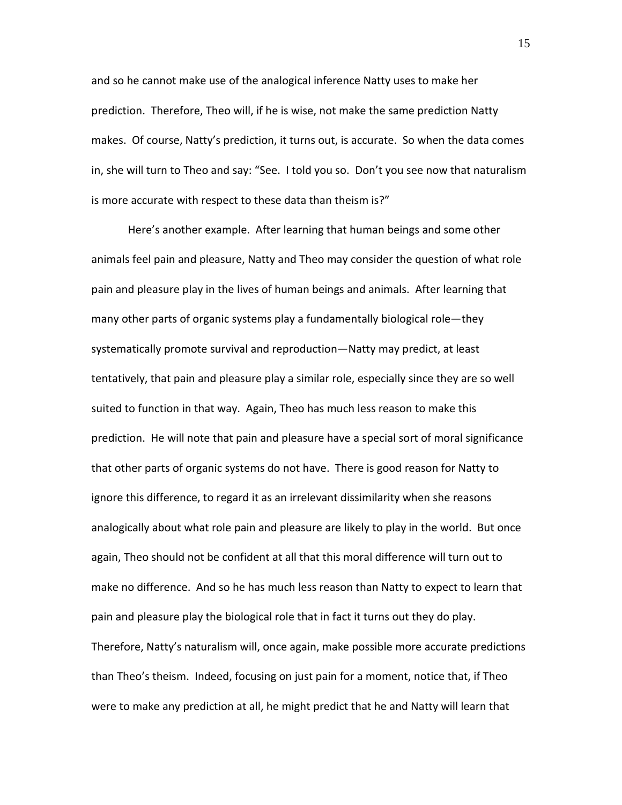and so he cannot make use of the analogical inference Natty uses to make her prediction. Therefore, Theo will, if he is wise, not make the same prediction Natty makes. Of course, Natty's prediction, it turns out, is accurate. So when the data comes in, she will turn to Theo and say: "See. I told you so. Don't you see now that naturalism is more accurate with respect to these data than theism is?"

Here's another example. After learning that human beings and some other animals feel pain and pleasure, Natty and Theo may consider the question of what role pain and pleasure play in the lives of human beings and animals. After learning that many other parts of organic systems play a fundamentally biological role—they systematically promote survival and reproduction—Natty may predict, at least tentatively, that pain and pleasure play a similar role, especially since they are so well suited to function in that way. Again, Theo has much less reason to make this prediction. He will note that pain and pleasure have a special sort of moral significance that other parts of organic systems do not have. There is good reason for Natty to ignore this difference, to regard it as an irrelevant dissimilarity when she reasons analogically about what role pain and pleasure are likely to play in the world. But once again, Theo should not be confident at all that this moral difference will turn out to make no difference. And so he has much less reason than Natty to expect to learn that pain and pleasure play the biological role that in fact it turns out they do play. Therefore, Natty's naturalism will, once again, make possible more accurate predictions than Theo's theism. Indeed, focusing on just pain for a moment, notice that, if Theo were to make any prediction at all, he might predict that he and Natty will learn that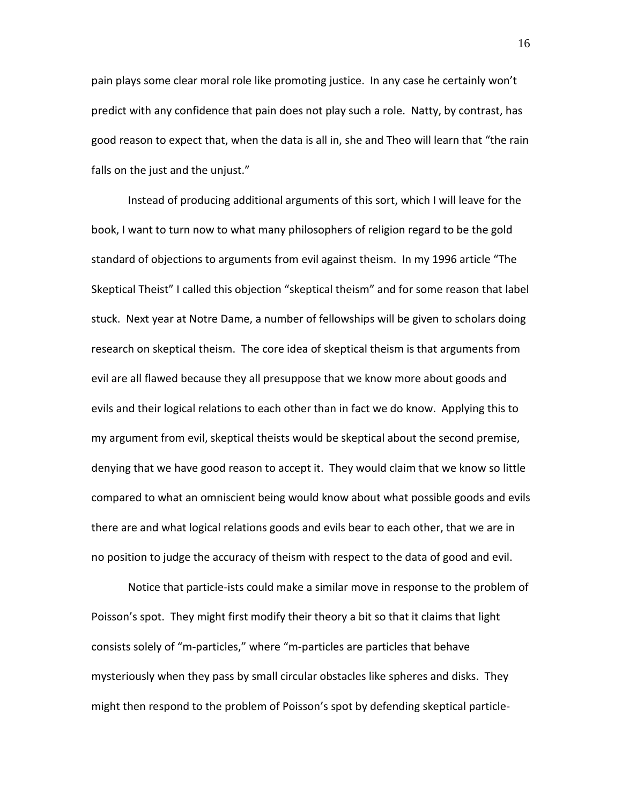pain plays some clear moral role like promoting justice. In any case he certainly won't predict with any confidence that pain does not play such a role. Natty, by contrast, has good reason to expect that, when the data is all in, she and Theo will learn that "the rain falls on the just and the unjust."

Instead of producing additional arguments of this sort, which I will leave for the book, I want to turn now to what many philosophers of religion regard to be the gold standard of objections to arguments from evil against theism. In my 1996 article "The Skeptical Theist" I called this objection "skeptical theism" and for some reason that label stuck. Next year at Notre Dame, a number of fellowships will be given to scholars doing research on skeptical theism. The core idea of skeptical theism is that arguments from evil are all flawed because they all presuppose that we know more about goods and evils and their logical relations to each other than in fact we do know. Applying this to my argument from evil, skeptical theists would be skeptical about the second premise, denying that we have good reason to accept it. They would claim that we know so little compared to what an omniscient being would know about what possible goods and evils there are and what logical relations goods and evils bear to each other, that we are in no position to judge the accuracy of theism with respect to the data of good and evil.

Notice that particle-ists could make a similar move in response to the problem of Poisson's spot. They might first modify their theory a bit so that it claims that light consists solely of "m-particles," where "m-particles are particles that behave mysteriously when they pass by small circular obstacles like spheres and disks. They might then respond to the problem of Poisson's spot by defending skeptical particle-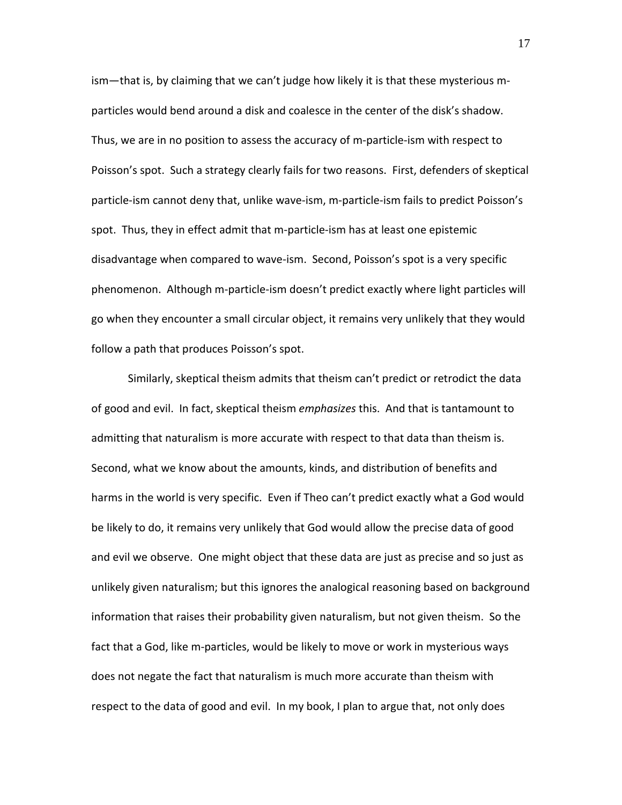ism—that is, by claiming that we can't judge how likely it is that these mysterious mparticles would bend around a disk and coalesce in the center of the disk's shadow. Thus, we are in no position to assess the accuracy of m-particle-ism with respect to Poisson's spot. Such a strategy clearly fails for two reasons. First, defenders of skeptical particle-ism cannot deny that, unlike wave-ism, m-particle-ism fails to predict Poisson's spot. Thus, they in effect admit that m-particle-ism has at least one epistemic disadvantage when compared to wave-ism. Second, Poisson's spot is a very specific phenomenon. Although m-particle-ism doesn't predict exactly where light particles will go when they encounter a small circular object, it remains very unlikely that they would follow a path that produces Poisson's spot.

Similarly, skeptical theism admits that theism can't predict or retrodict the data of good and evil. In fact, skeptical theism *emphasizes* this. And that is tantamount to admitting that naturalism is more accurate with respect to that data than theism is. Second, what we know about the amounts, kinds, and distribution of benefits and harms in the world is very specific. Even if Theo can't predict exactly what a God would be likely to do, it remains very unlikely that God would allow the precise data of good and evil we observe. One might object that these data are just as precise and so just as unlikely given naturalism; but this ignores the analogical reasoning based on background information that raises their probability given naturalism, but not given theism. So the fact that a God, like m-particles, would be likely to move or work in mysterious ways does not negate the fact that naturalism is much more accurate than theism with respect to the data of good and evil. In my book, I plan to argue that, not only does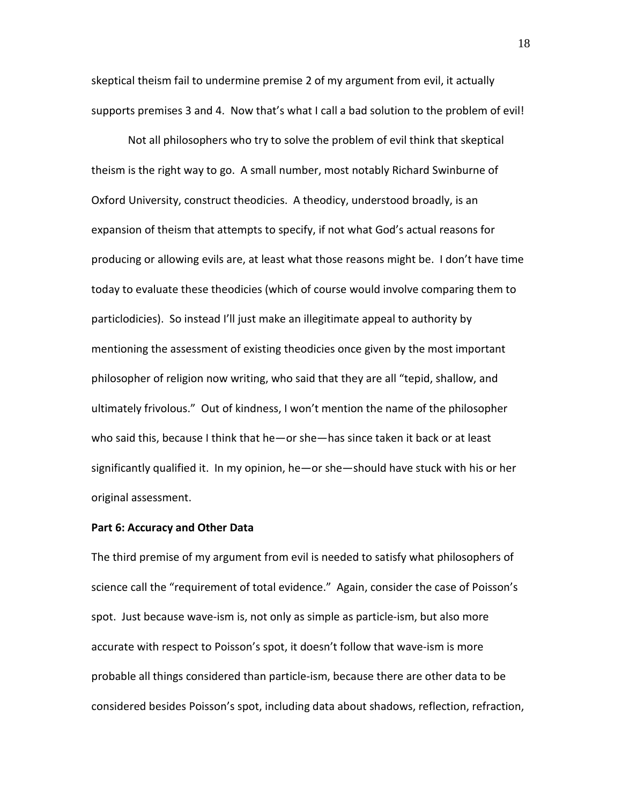skeptical theism fail to undermine premise 2 of my argument from evil, it actually supports premises 3 and 4. Now that's what I call a bad solution to the problem of evil!

Not all philosophers who try to solve the problem of evil think that skeptical theism is the right way to go. A small number, most notably Richard Swinburne of Oxford University, construct theodicies. A theodicy, understood broadly, is an expansion of theism that attempts to specify, if not what God's actual reasons for producing or allowing evils are, at least what those reasons might be. I don't have time today to evaluate these theodicies (which of course would involve comparing them to particlodicies). So instead I'll just make an illegitimate appeal to authority by mentioning the assessment of existing theodicies once given by the most important philosopher of religion now writing, who said that they are all "tepid, shallow, and ultimately frivolous." Out of kindness, I won't mention the name of the philosopher who said this, because I think that he—or she—has since taken it back or at least significantly qualified it. In my opinion, he—or she—should have stuck with his or her original assessment.

### **Part 6: Accuracy and Other Data**

The third premise of my argument from evil is needed to satisfy what philosophers of science call the "requirement of total evidence." Again, consider the case of Poisson's spot. Just because wave-ism is, not only as simple as particle-ism, but also more accurate with respect to Poisson's spot, it doesn't follow that wave-ism is more probable all things considered than particle-ism, because there are other data to be considered besides Poisson's spot, including data about shadows, reflection, refraction,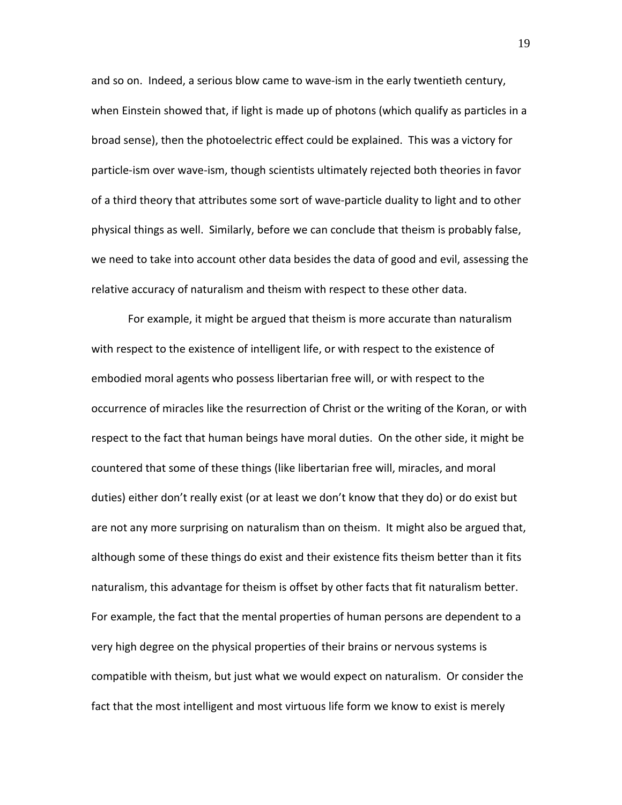and so on. Indeed, a serious blow came to wave-ism in the early twentieth century, when Einstein showed that, if light is made up of photons (which qualify as particles in a broad sense), then the photoelectric effect could be explained. This was a victory for particle-ism over wave-ism, though scientists ultimately rejected both theories in favor of a third theory that attributes some sort of wave-particle duality to light and to other physical things as well. Similarly, before we can conclude that theism is probably false, we need to take into account other data besides the data of good and evil, assessing the relative accuracy of naturalism and theism with respect to these other data.

For example, it might be argued that theism is more accurate than naturalism with respect to the existence of intelligent life, or with respect to the existence of embodied moral agents who possess libertarian free will, or with respect to the occurrence of miracles like the resurrection of Christ or the writing of the Koran, or with respect to the fact that human beings have moral duties. On the other side, it might be countered that some of these things (like libertarian free will, miracles, and moral duties) either don't really exist (or at least we don't know that they do) or do exist but are not any more surprising on naturalism than on theism. It might also be argued that, although some of these things do exist and their existence fits theism better than it fits naturalism, this advantage for theism is offset by other facts that fit naturalism better. For example, the fact that the mental properties of human persons are dependent to a very high degree on the physical properties of their brains or nervous systems is compatible with theism, but just what we would expect on naturalism. Or consider the fact that the most intelligent and most virtuous life form we know to exist is merely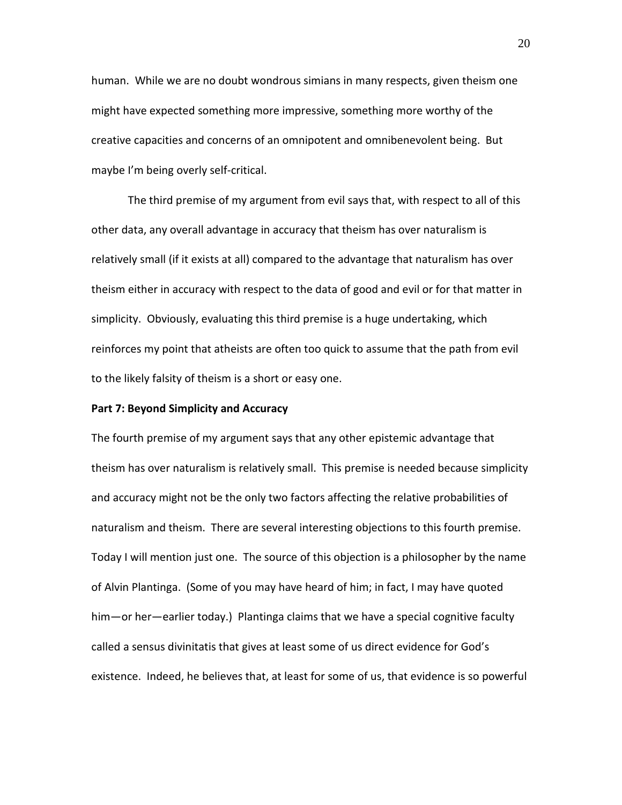human. While we are no doubt wondrous simians in many respects, given theism one might have expected something more impressive, something more worthy of the creative capacities and concerns of an omnipotent and omnibenevolent being. But maybe I'm being overly self-critical.

The third premise of my argument from evil says that, with respect to all of this other data, any overall advantage in accuracy that theism has over naturalism is relatively small (if it exists at all) compared to the advantage that naturalism has over theism either in accuracy with respect to the data of good and evil or for that matter in simplicity. Obviously, evaluating this third premise is a huge undertaking, which reinforces my point that atheists are often too quick to assume that the path from evil to the likely falsity of theism is a short or easy one.

# **Part 7: Beyond Simplicity and Accuracy**

The fourth premise of my argument says that any other epistemic advantage that theism has over naturalism is relatively small. This premise is needed because simplicity and accuracy might not be the only two factors affecting the relative probabilities of naturalism and theism. There are several interesting objections to this fourth premise. Today I will mention just one. The source of this objection is a philosopher by the name of Alvin Plantinga. (Some of you may have heard of him; in fact, I may have quoted him—or her—earlier today.) Plantinga claims that we have a special cognitive faculty called a sensus divinitatis that gives at least some of us direct evidence for God's existence. Indeed, he believes that, at least for some of us, that evidence is so powerful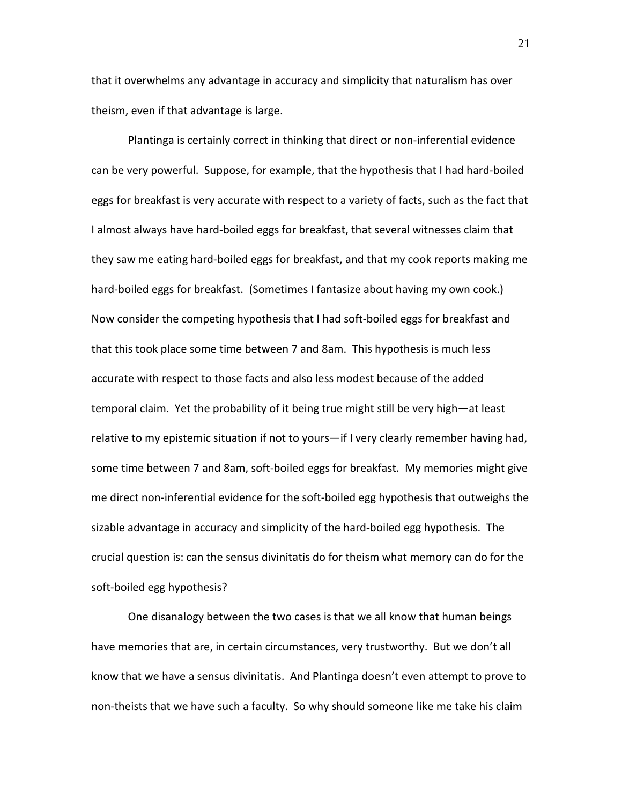that it overwhelms any advantage in accuracy and simplicity that naturalism has over theism, even if that advantage is large.

Plantinga is certainly correct in thinking that direct or non-inferential evidence can be very powerful. Suppose, for example, that the hypothesis that I had hard-boiled eggs for breakfast is very accurate with respect to a variety of facts, such as the fact that I almost always have hard-boiled eggs for breakfast, that several witnesses claim that they saw me eating hard-boiled eggs for breakfast, and that my cook reports making me hard-boiled eggs for breakfast. (Sometimes I fantasize about having my own cook.) Now consider the competing hypothesis that I had soft-boiled eggs for breakfast and that this took place some time between 7 and 8am. This hypothesis is much less accurate with respect to those facts and also less modest because of the added temporal claim. Yet the probability of it being true might still be very high—at least relative to my epistemic situation if not to yours—if I very clearly remember having had, some time between 7 and 8am, soft-boiled eggs for breakfast. My memories might give me direct non-inferential evidence for the soft-boiled egg hypothesis that outweighs the sizable advantage in accuracy and simplicity of the hard-boiled egg hypothesis. The crucial question is: can the sensus divinitatis do for theism what memory can do for the soft-boiled egg hypothesis?

One disanalogy between the two cases is that we all know that human beings have memories that are, in certain circumstances, very trustworthy. But we don't all know that we have a sensus divinitatis. And Plantinga doesn't even attempt to prove to non-theists that we have such a faculty. So why should someone like me take his claim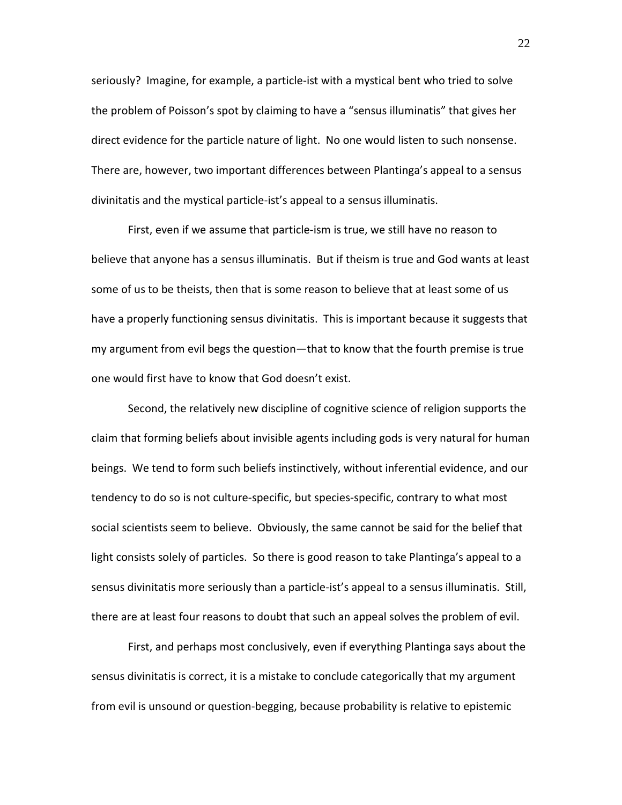seriously? Imagine, for example, a particle-ist with a mystical bent who tried to solve the problem of Poisson's spot by claiming to have a "sensus illuminatis" that gives her direct evidence for the particle nature of light. No one would listen to such nonsense. There are, however, two important differences between Plantinga's appeal to a sensus divinitatis and the mystical particle-ist's appeal to a sensus illuminatis.

First, even if we assume that particle-ism is true, we still have no reason to believe that anyone has a sensus illuminatis. But if theism is true and God wants at least some of us to be theists, then that is some reason to believe that at least some of us have a properly functioning sensus divinitatis. This is important because it suggests that my argument from evil begs the question—that to know that the fourth premise is true one would first have to know that God doesn't exist.

Second, the relatively new discipline of cognitive science of religion supports the claim that forming beliefs about invisible agents including gods is very natural for human beings. We tend to form such beliefs instinctively, without inferential evidence, and our tendency to do so is not culture-specific, but species-specific, contrary to what most social scientists seem to believe. Obviously, the same cannot be said for the belief that light consists solely of particles. So there is good reason to take Plantinga's appeal to a sensus divinitatis more seriously than a particle-ist's appeal to a sensus illuminatis. Still, there are at least four reasons to doubt that such an appeal solves the problem of evil.

First, and perhaps most conclusively, even if everything Plantinga says about the sensus divinitatis is correct, it is a mistake to conclude categorically that my argument from evil is unsound or question-begging, because probability is relative to epistemic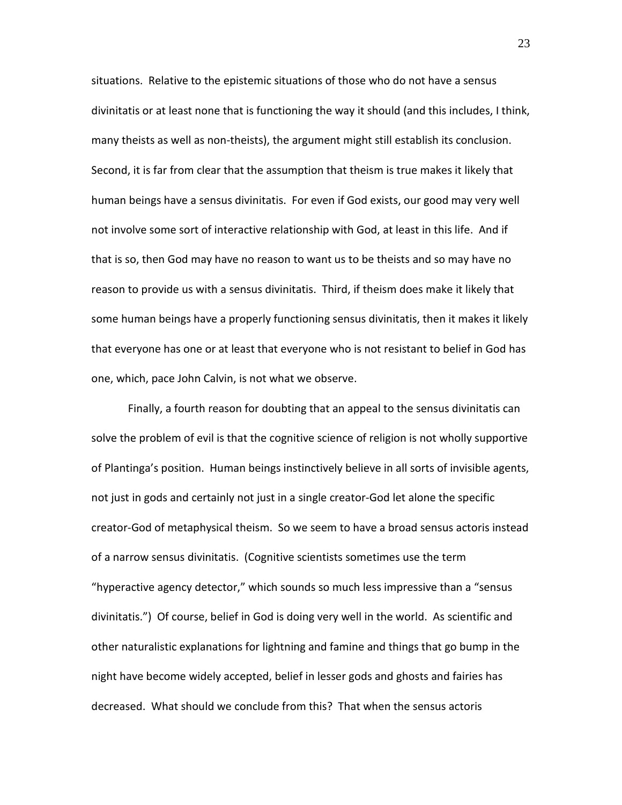situations. Relative to the epistemic situations of those who do not have a sensus divinitatis or at least none that is functioning the way it should (and this includes, I think, many theists as well as non-theists), the argument might still establish its conclusion. Second, it is far from clear that the assumption that theism is true makes it likely that human beings have a sensus divinitatis. For even if God exists, our good may very well not involve some sort of interactive relationship with God, at least in this life. And if that is so, then God may have no reason to want us to be theists and so may have no reason to provide us with a sensus divinitatis. Third, if theism does make it likely that some human beings have a properly functioning sensus divinitatis, then it makes it likely that everyone has one or at least that everyone who is not resistant to belief in God has one, which, pace John Calvin, is not what we observe.

Finally, a fourth reason for doubting that an appeal to the sensus divinitatis can solve the problem of evil is that the cognitive science of religion is not wholly supportive of Plantinga's position. Human beings instinctively believe in all sorts of invisible agents, not just in gods and certainly not just in a single creator-God let alone the specific creator-God of metaphysical theism. So we seem to have a broad sensus actoris instead of a narrow sensus divinitatis. (Cognitive scientists sometimes use the term "hyperactive agency detector," which sounds so much less impressive than a "sensus divinitatis.") Of course, belief in God is doing very well in the world. As scientific and other naturalistic explanations for lightning and famine and things that go bump in the night have become widely accepted, belief in lesser gods and ghosts and fairies has decreased. What should we conclude from this? That when the sensus actoris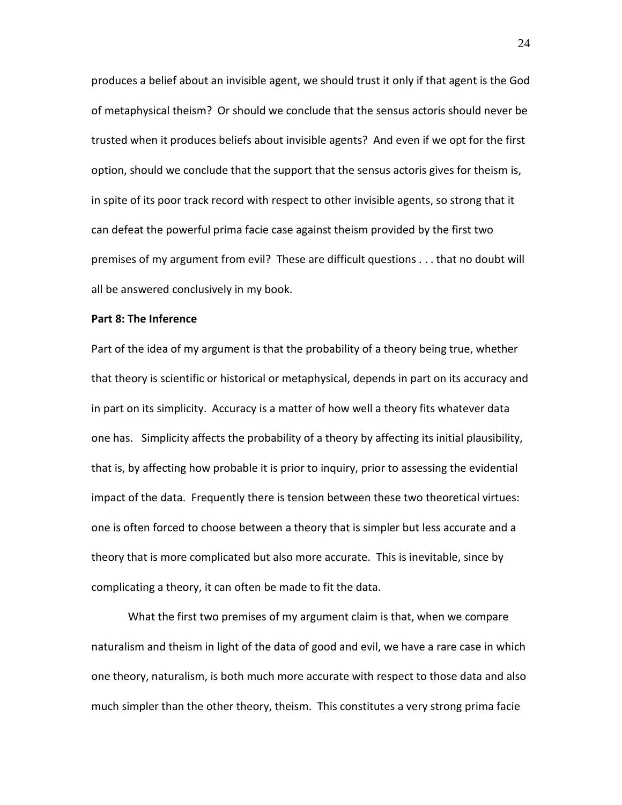produces a belief about an invisible agent, we should trust it only if that agent is the God of metaphysical theism? Or should we conclude that the sensus actoris should never be trusted when it produces beliefs about invisible agents? And even if we opt for the first option, should we conclude that the support that the sensus actoris gives for theism is, in spite of its poor track record with respect to other invisible agents, so strong that it can defeat the powerful prima facie case against theism provided by the first two premises of my argument from evil? These are difficult questions . . . that no doubt will all be answered conclusively in my book.

# **Part 8: The Inference**

Part of the idea of my argument is that the probability of a theory being true, whether that theory is scientific or historical or metaphysical, depends in part on its accuracy and in part on its simplicity. Accuracy is a matter of how well a theory fits whatever data one has. Simplicity affects the probability of a theory by affecting its initial plausibility, that is, by affecting how probable it is prior to inquiry, prior to assessing the evidential impact of the data. Frequently there is tension between these two theoretical virtues: one is often forced to choose between a theory that is simpler but less accurate and a theory that is more complicated but also more accurate. This is inevitable, since by complicating a theory, it can often be made to fit the data.

What the first two premises of my argument claim is that, when we compare naturalism and theism in light of the data of good and evil, we have a rare case in which one theory, naturalism, is both much more accurate with respect to those data and also much simpler than the other theory, theism. This constitutes a very strong prima facie